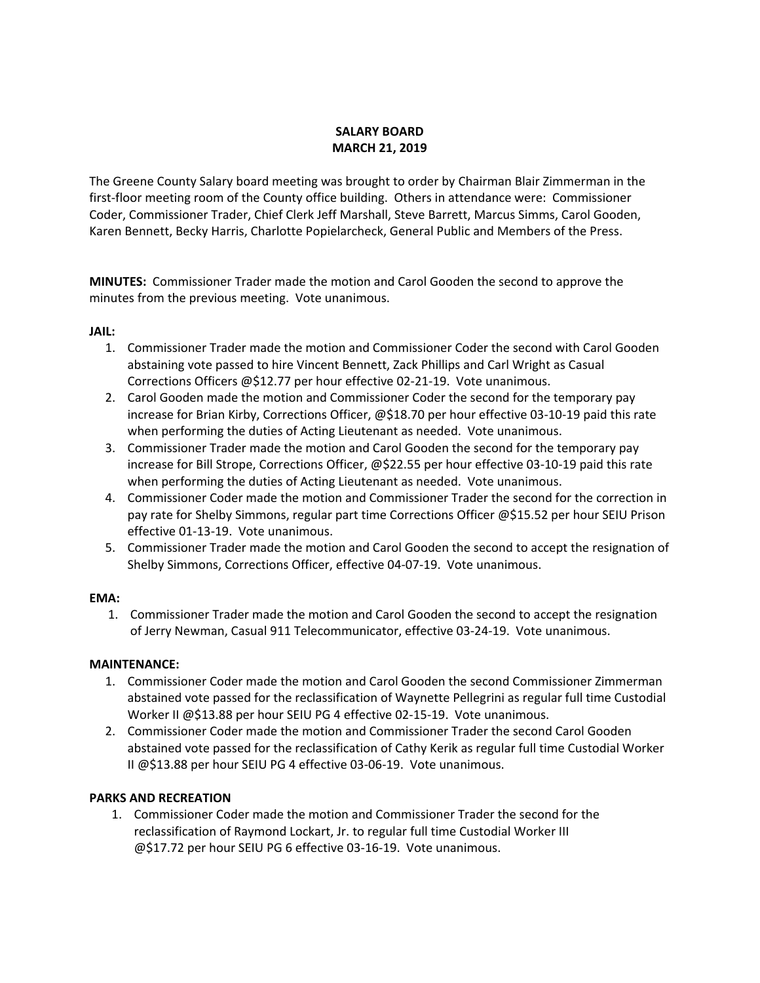# **SALARY BOARD MARCH 21, 2019**

The Greene County Salary board meeting was brought to order by Chairman Blair Zimmerman in the first-floor meeting room of the County office building. Others in attendance were: Commissioner Coder, Commissioner Trader, Chief Clerk Jeff Marshall, Steve Barrett, Marcus Simms, Carol Gooden, Karen Bennett, Becky Harris, Charlotte Popielarcheck, General Public and Members of the Press.

**MINUTES:** Commissioner Trader made the motion and Carol Gooden the second to approve the minutes from the previous meeting. Vote unanimous.

## **JAIL:**

- 1. Commissioner Trader made the motion and Commissioner Coder the second with Carol Gooden abstaining vote passed to hire Vincent Bennett, Zack Phillips and Carl Wright as Casual Corrections Officers @\$12.77 per hour effective 02‐21‐19. Vote unanimous.
- 2. Carol Gooden made the motion and Commissioner Coder the second for the temporary pay increase for Brian Kirby, Corrections Officer, @\$18.70 per hour effective 03‐10‐19 paid this rate when performing the duties of Acting Lieutenant as needed. Vote unanimous.
- 3. Commissioner Trader made the motion and Carol Gooden the second for the temporary pay increase for Bill Strope, Corrections Officer, @\$22.55 per hour effective 03‐10‐19 paid this rate when performing the duties of Acting Lieutenant as needed. Vote unanimous.
- 4. Commissioner Coder made the motion and Commissioner Trader the second for the correction in pay rate for Shelby Simmons, regular part time Corrections Officer @\$15.52 per hour SEIU Prison effective 01‐13‐19. Vote unanimous.
- 5. Commissioner Trader made the motion and Carol Gooden the second to accept the resignation of Shelby Simmons, Corrections Officer, effective 04‐07‐19. Vote unanimous.

## **EMA:**

1. Commissioner Trader made the motion and Carol Gooden the second to accept the resignation of Jerry Newman, Casual 911 Telecommunicator, effective 03‐24‐19. Vote unanimous.

## **MAINTENANCE:**

- 1. Commissioner Coder made the motion and Carol Gooden the second Commissioner Zimmerman abstained vote passed for the reclassification of Waynette Pellegrini as regular full time Custodial Worker II @\$13.88 per hour SEIU PG 4 effective 02-15-19. Vote unanimous.
- 2. Commissioner Coder made the motion and Commissioner Trader the second Carol Gooden abstained vote passed for the reclassification of Cathy Kerik as regular full time Custodial Worker II @\$13.88 per hour SEIU PG 4 effective 03‐06‐19. Vote unanimous.

## **PARKS AND RECREATION**

1. Commissioner Coder made the motion and Commissioner Trader the second for the reclassification of Raymond Lockart, Jr. to regular full time Custodial Worker III @\$17.72 per hour SEIU PG 6 effective 03‐16‐19. Vote unanimous.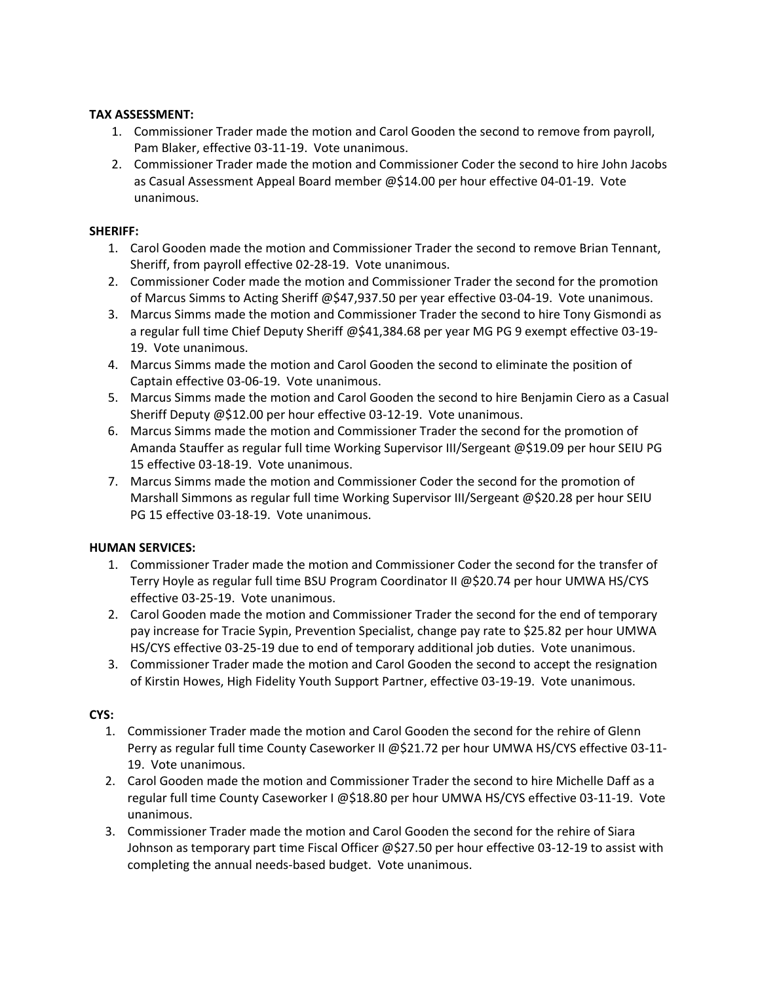## **TAX ASSESSMENT:**

- 1. Commissioner Trader made the motion and Carol Gooden the second to remove from payroll, Pam Blaker, effective 03‐11‐19. Vote unanimous.
- 2. Commissioner Trader made the motion and Commissioner Coder the second to hire John Jacobs as Casual Assessment Appeal Board member @\$14.00 per hour effective 04‐01‐19. Vote unanimous.

# **SHERIFF:**

- 1. Carol Gooden made the motion and Commissioner Trader the second to remove Brian Tennant, Sheriff, from payroll effective 02‐28‐19. Vote unanimous.
- 2. Commissioner Coder made the motion and Commissioner Trader the second for the promotion of Marcus Simms to Acting Sheriff @\$47,937.50 per year effective 03‐04‐19. Vote unanimous.
- 3. Marcus Simms made the motion and Commissioner Trader the second to hire Tony Gismondi as a regular full time Chief Deputy Sheriff @\$41,384.68 per year MG PG 9 exempt effective 03‐19‐ 19. Vote unanimous.
- 4. Marcus Simms made the motion and Carol Gooden the second to eliminate the position of Captain effective 03‐06‐19. Vote unanimous.
- 5. Marcus Simms made the motion and Carol Gooden the second to hire Benjamin Ciero as a Casual Sheriff Deputy @\$12.00 per hour effective 03‐12‐19. Vote unanimous.
- 6. Marcus Simms made the motion and Commissioner Trader the second for the promotion of Amanda Stauffer as regular full time Working Supervisor III/Sergeant @\$19.09 per hour SEIU PG 15 effective 03‐18‐19. Vote unanimous.
- 7. Marcus Simms made the motion and Commissioner Coder the second for the promotion of Marshall Simmons as regular full time Working Supervisor III/Sergeant @\$20.28 per hour SEIU PG 15 effective 03‐18‐19. Vote unanimous.

## **HUMAN SERVICES:**

- 1. Commissioner Trader made the motion and Commissioner Coder the second for the transfer of Terry Hoyle as regular full time BSU Program Coordinator II @\$20.74 per hour UMWA HS/CYS effective 03‐25‐19. Vote unanimous.
- 2. Carol Gooden made the motion and Commissioner Trader the second for the end of temporary pay increase for Tracie Sypin, Prevention Specialist, change pay rate to \$25.82 per hour UMWA HS/CYS effective 03‐25‐19 due to end of temporary additional job duties. Vote unanimous.
- 3. Commissioner Trader made the motion and Carol Gooden the second to accept the resignation of Kirstin Howes, High Fidelity Youth Support Partner, effective 03‐19‐19. Vote unanimous.

# **CYS:**

- 1. Commissioner Trader made the motion and Carol Gooden the second for the rehire of Glenn Perry as regular full time County Caseworker II @\$21.72 per hour UMWA HS/CYS effective 03‐11‐ 19. Vote unanimous.
- 2. Carol Gooden made the motion and Commissioner Trader the second to hire Michelle Daff as a regular full time County Caseworker I @\$18.80 per hour UMWA HS/CYS effective 03‐11‐19. Vote unanimous.
- 3. Commissioner Trader made the motion and Carol Gooden the second for the rehire of Siara Johnson as temporary part time Fiscal Officer @\$27.50 per hour effective 03‐12‐19 to assist with completing the annual needs‐based budget. Vote unanimous.